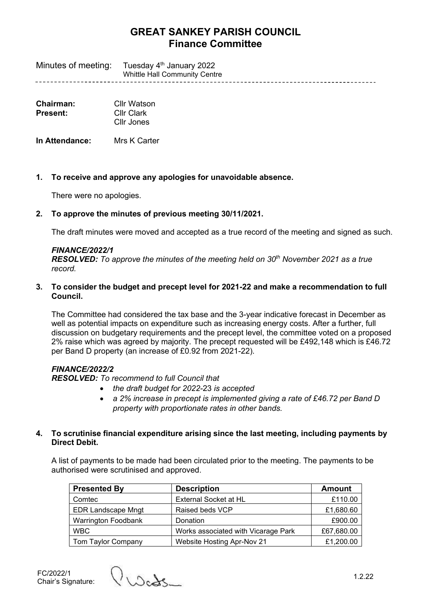# **GREAT SANKEY PARISH COUNCIL Finance Committee**

Minutes of meeting: Tuesday 4<sup>th</sup> January 2022 Whittle Hall Community Centre

| Chairman:<br>Cllr Watson |                   |  |
|--------------------------|-------------------|--|
| Present:                 | <b>Cllr Clark</b> |  |
|                          | Cllr Jones        |  |

**In Attendance:** Mrs K Carter

**1. To receive and approve any apologies for unavoidable absence.**

There were no apologies.

### **2. To approve the minutes of previous meeting 30/11/2021.**

The draft minutes were moved and accepted as a true record of the meeting and signed as such.

#### *FINANCE/2022/1*

*RESOLVED: To approve the minutes of the meeting held on 30th November 2021 as a true record.*

**3. To consider the budget and precept level for 2021-22 and make a recommendation to full Council.**

The Committee had considered the tax base and the 3-year indicative forecast in December as well as potential impacts on expenditure such as increasing energy costs. After a further, full discussion on budgetary requirements and the precept level, the committee voted on a proposed 2% raise which was agreed by majority. The precept requested will be £492,148 which is £46.72 per Band D property (an increase of £0.92 from 2021-22).

### *FINANCE/2022/2*

*RESOLVED: To recommend to full Council that*

- *the draft budget for 2022-*23 *is accepted*
- *a 2% increase in precept is implemented giving a rate of £46.72 per Band D property with proportionate rates in other bands.*

### **4. To scrutinise financial expenditure arising since the last meeting, including payments by Direct Debit.**

A list of payments to be made had been circulated prior to the meeting. The payments to be authorised were scrutinised and approved.

| <b>Presented By</b>        | <b>Description</b>                  | Amount     |
|----------------------------|-------------------------------------|------------|
| Comtec                     | External Socket at HL               | £110.00    |
| <b>EDR Landscape Mngt</b>  | Raised beds VCP                     | £1,680.60  |
| <b>Warrington Foodbank</b> | Donation                            | £900.00    |
| <b>WBC</b>                 | Works associated with Vicarage Park | £67,680.00 |
| Tom Taylor Company         | Website Hosting Apr-Nov 21          | £1,200.00  |

FC/2022/1<br>Chair's Signature:

 $\Omega_{\Lambda}$  Signature: 1.2.22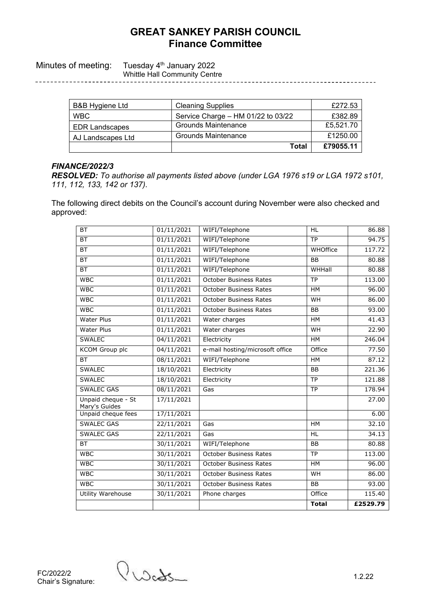## **GREAT SANKEY PARISH COUNCIL Finance Committee**

Minutes of meeting: Tuesday 4<sup>th</sup> January 2022

Whittle Hall Community Centre

| B&B Hygiene Ltd       | <b>Cleaning Supplies</b>           | £272.53   |
|-----------------------|------------------------------------|-----------|
| <b>WBC</b>            | Service Charge - HM 01/22 to 03/22 | £382.89   |
| <b>EDR Landscapes</b> | <b>Grounds Maintenance</b>         | £5,521.70 |
| AJ Landscapes Ltd     | Grounds Maintenance                | £1250.00  |
|                       | <b>Total</b>                       | £79055.11 |

### *FINANCE/2022/3*

*RESOLVED: To authorise all payments listed above (under LGA 1976 s19 or LGA 1972 s101, 111, 112, 133, 142 or 137).*

The following direct debits on the Council's account during November were also checked and approved:

| <b>BT</b>                           | 01/11/2021 | WIFI/Telephone                  | <b>HL</b>    | 86.88    |
|-------------------------------------|------------|---------------------------------|--------------|----------|
| <b>BT</b>                           | 01/11/2021 | WIFI/Telephone                  | <b>TP</b>    | 94.75    |
| <b>BT</b>                           | 01/11/2021 | WIFI/Telephone                  | WHOffice     | 117.72   |
| <b>BT</b>                           | 01/11/2021 | WIFI/Telephone                  | <b>BB</b>    | 80.88    |
| <b>BT</b>                           | 01/11/2021 | WIFI/Telephone                  | WHHall       | 80.88    |
| <b>WBC</b>                          | 01/11/2021 | October Business Rates          | <b>TP</b>    | 113.00   |
| <b>WBC</b>                          | 01/11/2021 | <b>October Business Rates</b>   | <b>HM</b>    | 96.00    |
| <b>WBC</b>                          | 01/11/2021 | <b>October Business Rates</b>   | WH           | 86.00    |
| <b>WBC</b>                          | 01/11/2021 | <b>October Business Rates</b>   | <b>BB</b>    | 93.00    |
| <b>Water Plus</b>                   | 01/11/2021 | Water charges                   | HM           | 41.43    |
| Water Plus                          | 01/11/2021 | Water charges                   | WH           | 22.90    |
| <b>SWALEC</b>                       | 04/11/2021 | Electricity                     | <b>HM</b>    | 246.04   |
| <b>KCOM</b> Group plc               | 04/11/2021 | e-mail hosting/microsoft office | Office       | 77.50    |
| <b>BT</b>                           | 08/11/2021 | WIFI/Telephone                  | <b>HM</b>    | 87.12    |
| <b>SWALEC</b>                       | 18/10/2021 | Electricity                     | <b>BB</b>    | 221.36   |
| <b>SWALEC</b>                       | 18/10/2021 | Electricity                     | <b>TP</b>    | 121.88   |
| <b>SWALEC GAS</b>                   | 08/11/2021 | Gas                             | <b>TP</b>    | 178.94   |
| Unpaid cheque - St<br>Mary's Guides | 17/11/2021 |                                 |              | 27.00    |
| Unpaid cheque fees                  | 17/11/2021 |                                 |              | 6.00     |
| <b>SWALEC GAS</b>                   | 22/11/2021 | Gas                             | <b>HM</b>    | 32.10    |
| <b>SWALEC GAS</b>                   | 22/11/2021 | Gas                             | <b>HL</b>    | 34.13    |
| <b>BT</b>                           | 30/11/2021 | WIFI/Telephone                  | <b>BB</b>    | 80.88    |
| <b>WBC</b>                          | 30/11/2021 | <b>October Business Rates</b>   | <b>TP</b>    | 113.00   |
| <b>WBC</b>                          | 30/11/2021 | <b>October Business Rates</b>   | HM           | 96.00    |
| <b>WBC</b>                          | 30/11/2021 | <b>October Business Rates</b>   | WH           | 86.00    |
| <b>WBC</b>                          | 30/11/2021 | <b>October Business Rates</b>   | <b>BB</b>    | 93.00    |
| Utility Warehouse                   | 30/11/2021 | Phone charges                   | Office       | 115.40   |
|                                     |            |                                 | <b>Total</b> | £2529.79 |

Chair's Signature: 1.2.22